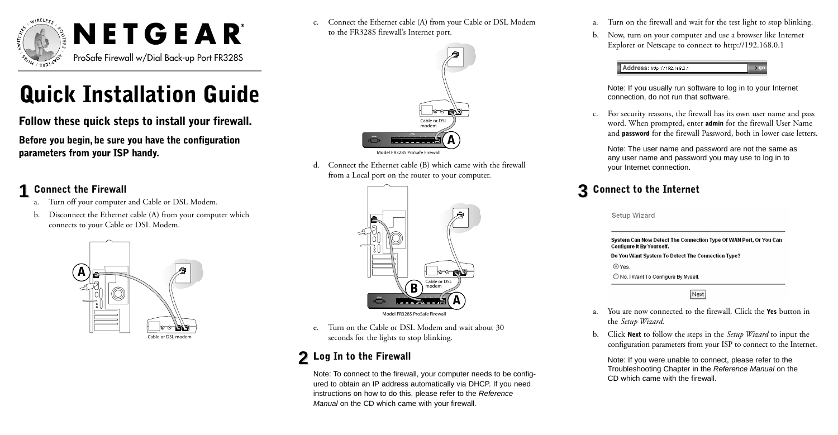

# **Quick Installation Guide**

**Follow these quick steps to install your firewall.**

**Before you begin, be sure you have the configuration parameters from your ISP handy.**

# **1 Connect the Firewall**

- Turn off your computer and Cable or DSL Modem.
- b. Disconnect the Ethernet cable (A) from your computer which connects to your Cable or DSL Modem.



c. Connect the Ethernet cable (A) from your Cable or DSL Modem to the FR328S firewall's Internet port.



d. Connect the Ethernet cable (B) which came with the firewall from a Local port on the router to your computer.



e. Turn on the Cable or DSL Modem and wait about 30 seconds for the lights to stop blinking.

# **2 Log In to the Firewall**

Note: To connect to the firewall, your computer needs to be configured to obtain an IP address automatically via DHCP. If you need instructions on how to do this, please refer to the Reference Manual on the CD which came with your firewall.

- a. Turn on the firewall and wait for the test light to stop blinking.
- b. Now, turn on your computer and use a browser like Internet Explorer or Netscape to connect to http://192.168.0.1



Note: If you usually run software to log in to your Internet connection, do not run that software.

c. For security reasons, the firewall has its own user name and pass word. When prompted, enter **admin** for the firewall User Name and **password** for the firewall Password, both in lower case letters.

Note: The user name and password are not the same as any user name and password you may use to log in to your Internet connection.

# **3 Connect to the Internet**

Setup Wizard

| System Can Now Detect The Connection Type Of WAN Port, Or You Can<br>Configure It By Yourself. |
|------------------------------------------------------------------------------------------------|
| Do You Want System To Detect The Connection Type?                                              |
| O Yes.                                                                                         |
| O No. I Want To Configure By Myself.                                                           |
| Next                                                                                           |

- a. You are now connected to the firewall. Click the **Yes** button in the *Setup Wizard*.
- b. Click **Next** to follow the steps in the *Setup Wizard* to input the configuration parameters from your ISP to connect to the Internet.

Note: If you were unable to connect, please refer to the Troubleshooting Chapter in the Reference Manual on the CD which came with the firewall.